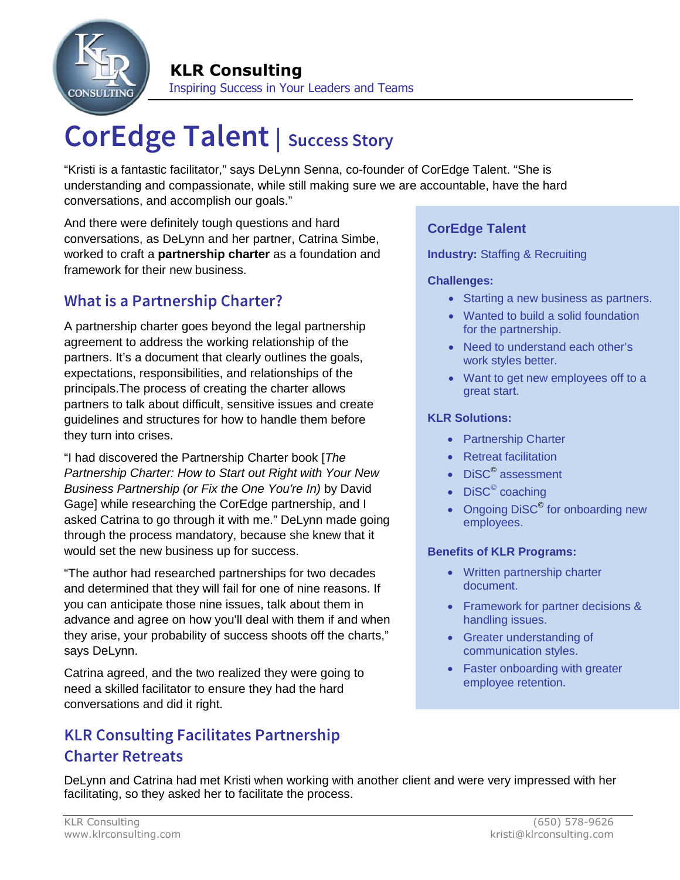

# **CorEdge Talent | Success Story**

"Kristi is a fantastic facilitator," says DeLynn Senna, co-founder of CorEdge Talent. "She is understanding and compassionate, while still making sure we are accountable, have the hard conversations, and accomplish our goals."

And there were definitely tough questions and hard conversations, as DeLynn and her partner, Catrina Simbe, worked to craft a **partnership charter** as a foundation and framework for their new business.

# **What is a Partnership Charter?**

A partnership charter goes beyond the legal partnership agreement to address the working relationship of the partners. It's a document that clearly outlines the goals, expectations, responsibilities, and relationships of the principals.The process of creating the charter allows partners to talk about difficult, sensitive issues and create guidelines and structures for how to handle them before they turn into crises.

"I had discovered the Partnership Charter book [*The Partnership Charter: How to Start out Right with Your New Business Partnership (or Fix the One You're In)* by David Gage] while researching the CorEdge partnership, and I asked Catrina to go through it with me." DeLynn made going through the process mandatory, because she knew that it would set the new business up for success.

"The author had researched partnerships for two decades and determined that they will fail for one of nine reasons. If you can anticipate those nine issues, talk about them in advance and agree on how you'll deal with them if and when they arise, your probability of success shoots off the charts," says DeLynn.

Catrina agreed, and the two realized they were going to need a skilled facilitator to ensure they had the hard conversations and did it right.

# **KLR Consulting Facilitates Partnership Charter Retreats**

### **CorEdge Talent**

#### **Industry:** Staffing & Recruiting

#### **Challenges:**

- Starting a new business as partners.
- Wanted to build a solid foundation for the partnership.
- Need to understand each other's work styles better.
- Want to get new employees off to a great start.

#### **KLR Solutions:**

- Partnership Charter
- Retreat facilitation
- DiSC<sup>©</sup> assessment
- $Disc^{\circ}$  coaching
- Ongoing DiSC<sup>©</sup> for onboarding new employees.

#### **Benefits of KLR Programs:**

- Written partnership charter document.
- Framework for partner decisions & handling issues.
- Greater understanding of communication styles.
- Faster onboarding with greater employee retention.

DeLynn and Catrina had met Kristi when working with another client and were very impressed with her facilitating, so they asked her to facilitate the process.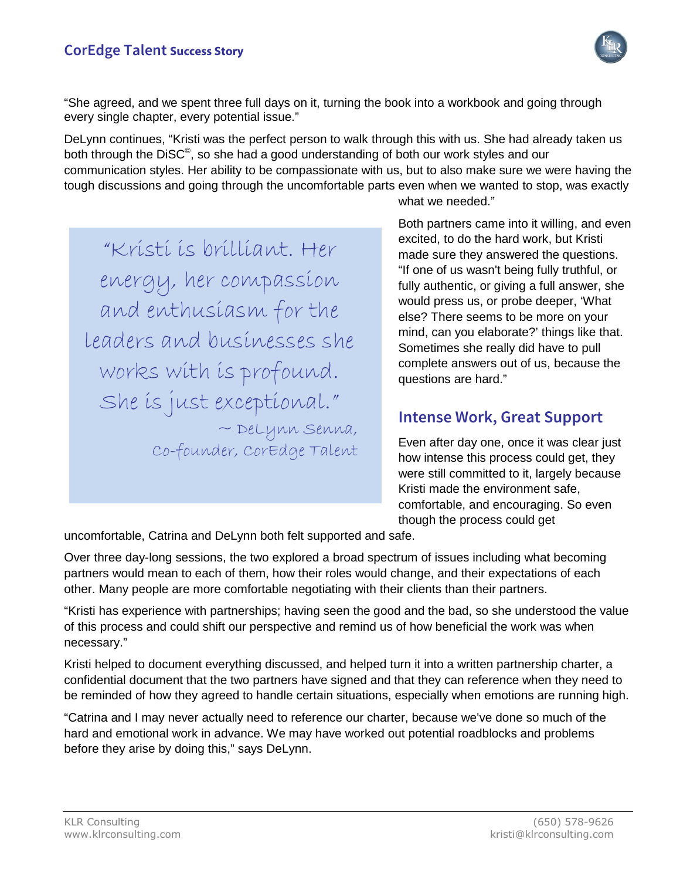

"She agreed, and we spent three full days on it, turning the book into a workbook and going through every single chapter, every potential issue."

DeLynn continues, "Kristi was the perfect person to walk through this with us. She had already taken us both through the DiSC<sup>©</sup>, so she had a good understanding of both our work styles and our communication styles. Her ability to be compassionate with us, but to also make sure we were having the tough discussions and going through the uncomfortable parts even when we wanted to stop, was exactly

"Kristi is brilliant. Her energy, her compassion and enthusiasm for the leaders and businesses she works with is profound. She is just exceptional."  $\sim$  DeLynn Senna, Co-founder, CorEdge Talent what we needed."

Both partners came into it willing, and even excited, to do the hard work, but Kristi made sure they answered the questions. "If one of us wasn't being fully truthful, or fully authentic, or giving a full answer, she would press us, or probe deeper, 'What else? There seems to be more on your mind, can you elaborate?' things like that. Sometimes she really did have to pull complete answers out of us, because the questions are hard."

## **Intense Work, Great Support**

Even after day one, once it was clear just how intense this process could get, they were still committed to it, largely because Kristi made the environment safe, comfortable, and encouraging. So even though the process could get

uncomfortable, Catrina and DeLynn both felt supported and safe.

Over three day-long sessions, the two explored a broad spectrum of issues including what becoming partners would mean to each of them, how their roles would change, and their expectations of each other. Many people are more comfortable negotiating with their clients than their partners.

"Kristi has experience with partnerships; having seen the good and the bad, so she understood the value of this process and could shift our perspective and remind us of how beneficial the work was when necessary."

Kristi helped to document everything discussed, and helped turn it into a written partnership charter, a confidential document that the two partners have signed and that they can reference when they need to be reminded of how they agreed to handle certain situations, especially when emotions are running high.

"Catrina and I may never actually need to reference our charter, because we've done so much of the hard and emotional work in advance. We may have worked out potential roadblocks and problems before they arise by doing this," says DeLynn.